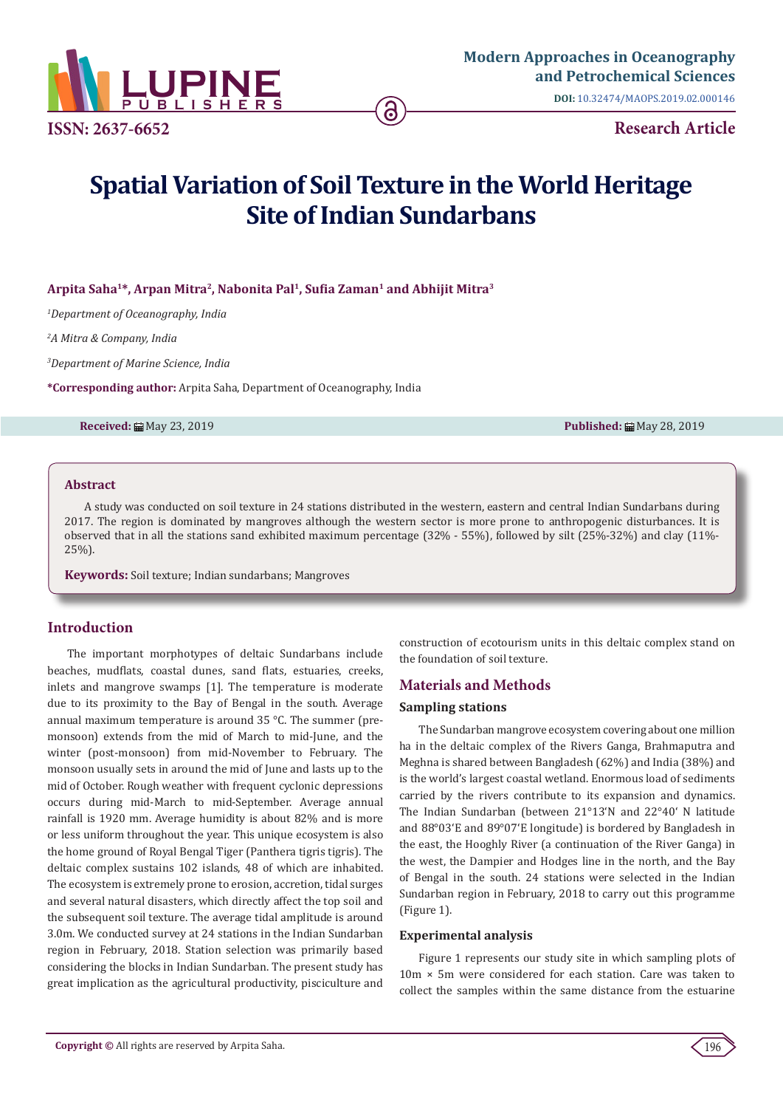

**DOI:** [10.32474/MAOPS.2019.02.000146](http://dx.doi.org/10.32474/MAOPS.2019.02.000146)

# **Spatial Variation of Soil Texture in the World Heritage Site of Indian Sundarbans**

**Arpita Saha1\*, Arpan Mitra2, Nabonita Pal1, Sufia Zaman1 and Abhijit Mitra3**

*1 Department of Oceanography, India*

*2 A Mitra & Company, India*

*3 Department of Marine Science, India*

**\*Corresponding author:** Arpita Saha, Department of Oceanography, India

**Received:** May 23, 2019 **Published:** May 28, 2019

#### **Abstract**

A study was conducted on soil texture in 24 stations distributed in the western, eastern and central Indian Sundarbans during 2017. The region is dominated by mangroves although the western sector is more prone to anthropogenic disturbances. It is observed that in all the stations sand exhibited maximum percentage (32% - 55%), followed by silt (25%-32%) and clay (11%- 25%).

**Keywords:** Soil texture; Indian sundarbans; Mangroves

# **Introduction**

The important morphotypes of deltaic Sundarbans include beaches, mudflats, coastal dunes, sand flats, estuaries, creeks, inlets and mangrove swamps [1]. The temperature is moderate due to its proximity to the Bay of Bengal in the south. Average annual maximum temperature is around 35 °C. The summer (premonsoon) extends from the mid of March to mid-June, and the winter (post-monsoon) from mid-November to February. The monsoon usually sets in around the mid of June and lasts up to the mid of October. Rough weather with frequent cyclonic depressions occurs during mid-March to mid-September. Average annual rainfall is 1920 mm. Average humidity is about 82% and is more or less uniform throughout the year. This unique ecosystem is also the home ground of Royal Bengal Tiger (Panthera tigris tigris). The deltaic complex sustains 102 islands, 48 of which are inhabited. The ecosystem is extremely prone to erosion, accretion, tidal surges and several natural disasters, which directly affect the top soil and the subsequent soil texture. The average tidal amplitude is around 3.0m. We conducted survey at 24 stations in the Indian Sundarban region in February, 2018. Station selection was primarily based considering the blocks in Indian Sundarban. The present study has great implication as the agricultural productivity, pisciculture and

construction of ecotourism units in this deltaic complex stand on the foundation of soil texture.

# **Materials and Methods**

#### **Sampling stations**

The Sundarban mangrove ecosystem covering about one million ha in the deltaic complex of the Rivers Ganga, Brahmaputra and Meghna is shared between Bangladesh (62%) and India (38%) and is the world's largest coastal wetland. Enormous load of sediments carried by the rivers contribute to its expansion and dynamics. The Indian Sundarban (between 21°13'N and 22°40' N latitude and 88°03'E and 89°07'E longitude) is bordered by Bangladesh in the east, the Hooghly River (a continuation of the River Ganga) in the west, the Dampier and Hodges line in the north, and the Bay of Bengal in the south. 24 stations were selected in the Indian Sundarban region in February, 2018 to carry out this programme (Figure 1).

#### **Experimental analysis**

Figure 1 represents our study site in which sampling plots of 10m × 5m were considered for each station. Care was taken to collect the samples within the same distance from the estuarine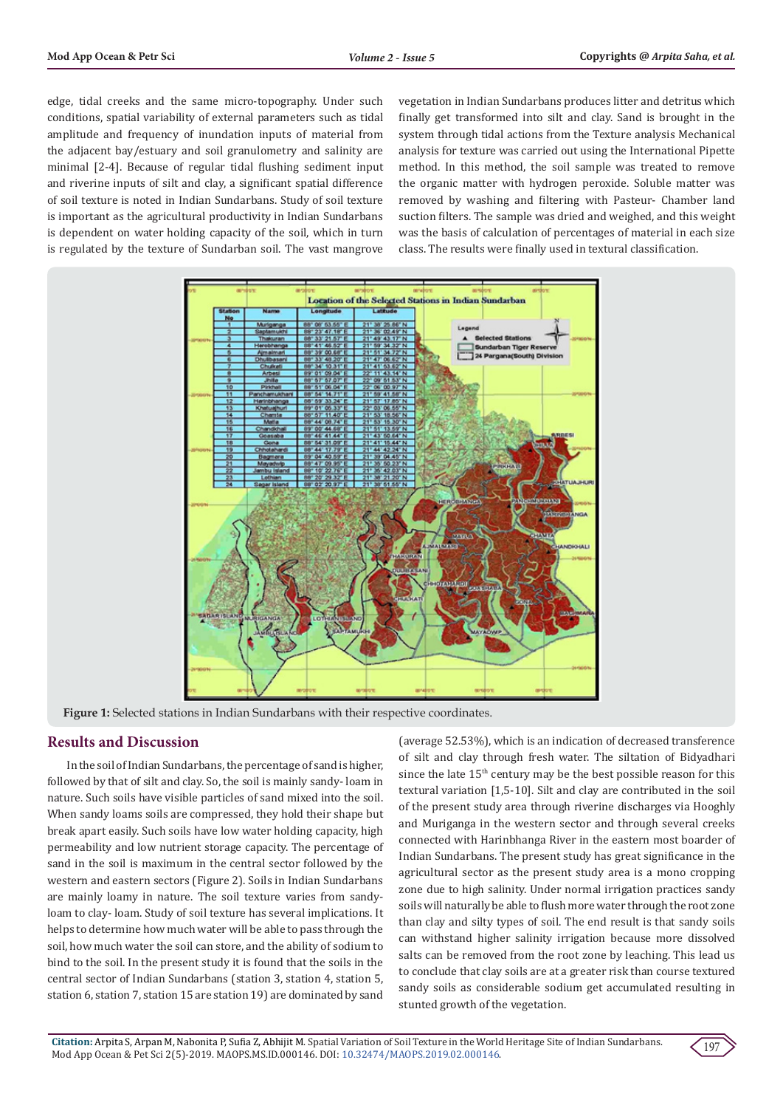edge, tidal creeks and the same micro-topography. Under such conditions, spatial variability of external parameters such as tidal amplitude and frequency of inundation inputs of material from the adjacent bay/estuary and soil granulometry and salinity are minimal [2-4]. Because of regular tidal flushing sediment input and riverine inputs of silt and clay, a significant spatial difference of soil texture is noted in Indian Sundarbans. Study of soil texture is important as the agricultural productivity in Indian Sundarbans is dependent on water holding capacity of the soil, which in turn is regulated by the texture of Sundarban soil. The vast mangrove

vegetation in Indian Sundarbans produces litter and detritus which finally get transformed into silt and clay. Sand is brought in the system through tidal actions from the Texture analysis Mechanical analysis for texture was carried out using the International Pipette method. In this method, the soil sample was treated to remove the organic matter with hydrogen peroxide. Soluble matter was removed by washing and filtering with Pasteur- Chamber land suction filters. The sample was dried and weighed, and this weight was the basis of calculation of percentages of material in each size class. The results were finally used in textural classification.



**Figure 1:** Selected stations in Indian Sundarbans with their respective coordinates.

### **Results and Discussion**

In the soil of Indian Sundarbans, the percentage of sand is higher, followed by that of silt and clay. So, the soil is mainly sandy- loam in nature. Such soils have visible particles of sand mixed into the soil. When sandy loams soils are compressed, they hold their shape but break apart easily. Such soils have low water holding capacity, high permeability and low nutrient storage capacity. The percentage of sand in the soil is maximum in the central sector followed by the western and eastern sectors (Figure 2). Soils in Indian Sundarbans are mainly loamy in nature. The soil texture varies from sandyloam to clay- loam. Study of soil texture has several implications. It helps to determine how much water will be able to pass through the soil, how much water the soil can store, and the ability of sodium to bind to the soil. In the present study it is found that the soils in the central sector of Indian Sundarbans (station 3, station 4, station 5, station 6, station 7, station 15 are station 19) are dominated by sand

(average 52.53%), which is an indication of decreased transference of silt and clay through fresh water. The siltation of Bidyadhari since the late  $15<sup>th</sup>$  century may be the best possible reason for this textural variation [1,5-10]. Silt and clay are contributed in the soil of the present study area through riverine discharges via Hooghly and Muriganga in the western sector and through several creeks connected with Harinbhanga River in the eastern most boarder of Indian Sundarbans. The present study has great significance in the agricultural sector as the present study area is a mono cropping zone due to high salinity. Under normal irrigation practices sandy soils will naturally be able to flush more water through the root zone than clay and silty types of soil. The end result is that sandy soils can withstand higher salinity irrigation because more dissolved salts can be removed from the root zone by leaching. This lead us to conclude that clay soils are at a greater risk than course textured sandy soils as considerable sodium get accumulated resulting in stunted growth of the vegetation.